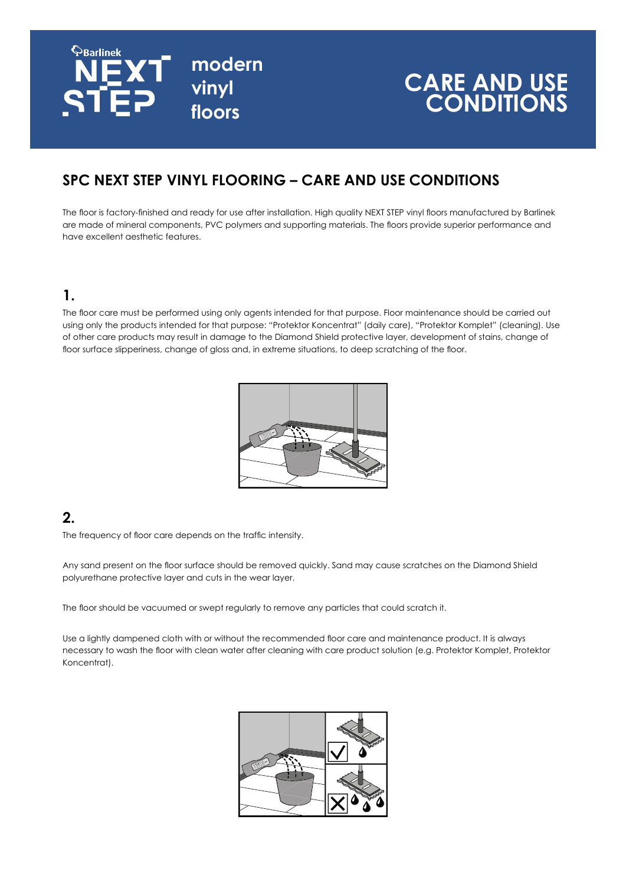

# **CARE AND USE CONDITIONS**

# **SPC NEXT STEP VINYL FLOORING – CARE AND USE CONDITIONS**

The floor is factory-finished and ready for use after installation. High quality NEXT STEP vinyl floors manufactured by Barlinek are made of mineral components, PVC polymers and supporting materials. The floors provide superior performance and have excellent aesthetic features.

## **1.**

The floor care must be performed using only agents intended for that purpose. Floor maintenance should be carried out using only the products intended for that purpose: "Protektor Koncentrat" (daily care), "Protektor Komplet" (cleaning). Use of other care products may result in damage to the Diamond Shield protective layer, development of stains, change of floor surface slipperiness, change of gloss and, in extreme situations, to deep scratching of the floor.



## **2.**

The frequency of floor care depends on the traffic intensity.

Any sand present on the floor surface should be removed quickly. Sand may cause scratches on the Diamond Shield polyurethane protective layer and cuts in the wear layer.

The floor should be vacuumed or swept regularly to remove any particles that could scratch it.

Use a lightly dampened cloth with or without the recommended floor care and maintenance product. It is always necessary to wash the floor with clean water after cleaning with care product solution (e.g. Protektor Komplet, Protektor Koncentrat).

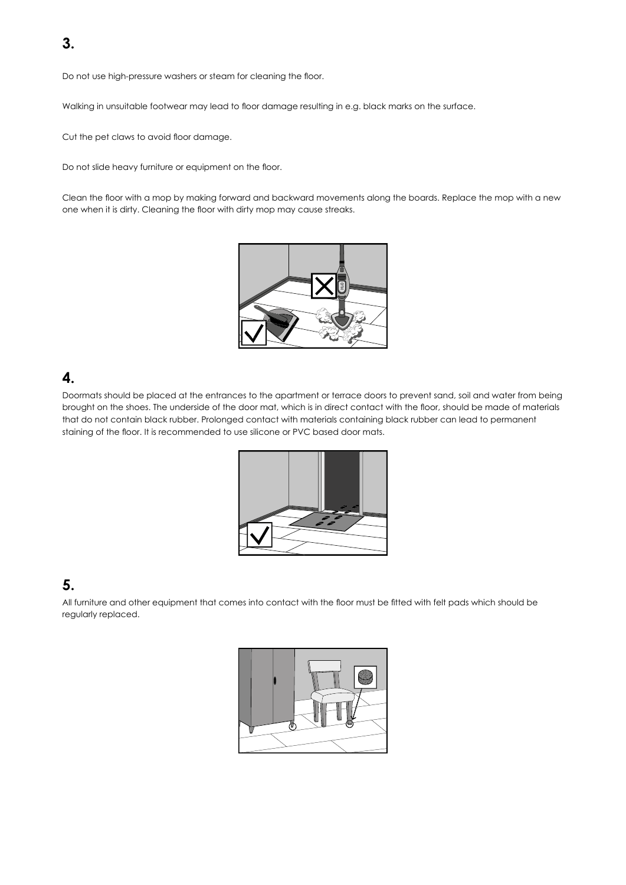Do not use high-pressure washers or steam for cleaning the floor.

Walking in unsuitable footwear may lead to floor damage resulting in e.g. black marks on the surface.

Cut the pet claws to avoid floor damage.

Do not slide heavy furniture or equipment on the floor.

Clean the floor with a mop by making forward and backward movements along the boards. Replace the mop with a new one when it is dirty. Cleaning the floor with dirty mop may cause streaks.



#### **4.**

Doormats should be placed at the entrances to the apartment or terrace doors to prevent sand, soil and water from being brought on the shoes. The underside of the door mat, which is in direct contact with the floor, should be made of materials that do not contain black rubber. Prolonged contact with materials containing black rubber can lead to permanent staining of the floor. It is recommended to use silicone or PVC based door mats.



## **5.**

All furniture and other equipment that comes into contact with the floor must be fitted with felt pads which should be regularly replaced.